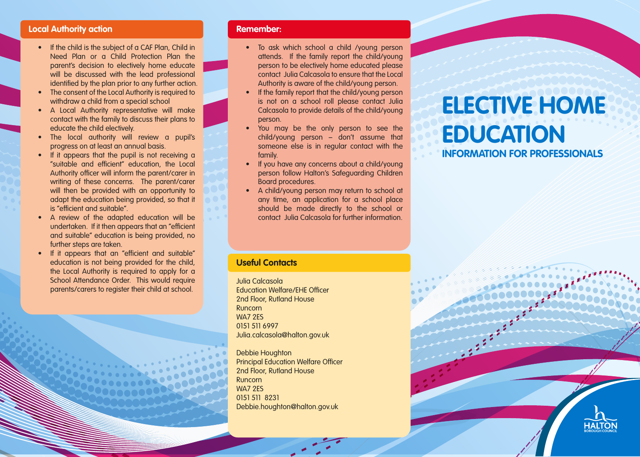### **Local Authority action**

- If the child is the subject of a CAF Plan, Child in Need Plan or a Child Protection Plan the parent's decision to electively home educate will be discussed with the lead professional identified by the plan prior to any further action.
- The consent of the Local Authority is required to withdraw a child from a special school
- A Local Authority representative will make contact with the family to discuss their plans to educate the child electively.
- The local authority will review a pupil's progress on at least an annual basis.
- If it appears that the pupil is not receiving a "suitable and efficient" education, the Local Authority officer will inform the parent/carer in writing of these concerns. The parent/carer will then be provided with an opportunity to adapt the education being provided, so that it is "efficient and suitable".
- A review of the adapted education will be undertaken. If it then appears that an "efficient and suitable" education is being provided, no further steps are taken.
- If it appears that an "efficient and suitable" education is not being provided for the child, the Local Authority is required to apply for a School Attendance Order. This would require parents/carers to register their child at school.

### **Remember:**

- To ask which school a child /young person attends. If the family report the child/young person to be electively home educated please contact Julia Calcasola to ensure that the Local Authority is aware of the child/young person.
- If the family report that the child/young person is not on a school roll please contact Julia Calcasola to provide details of the child/young person.
- You may be the only person to see the child/young person – don't assume that someone else is in regular contact with the family.
- If you have any concerns about a child/young person follow Halton's Safeguarding Children Board procedures.
- A child/young person may return to school at any time, an application for a school place should be made directly to the school or contact Julia Calcasola for further information.

### **Useful Contacts**

Julia Calcasola Education Welfare/EHE Officer 2nd Floor, Rutland House Runcorn WA7 2ES 0151 511 6997 Julia.calcasola@halton.gov.uk

Debbie Houghton Principal Education Welfare Officer 2nd Floor, Rutland House Runcorn WA7 2ES 0151 511 8231 Debbie.houghton@halton.gov.uk

# **ELECTIVE HOME EDUCATION**

### **INFORMATION FOR PROFESSIONALS**